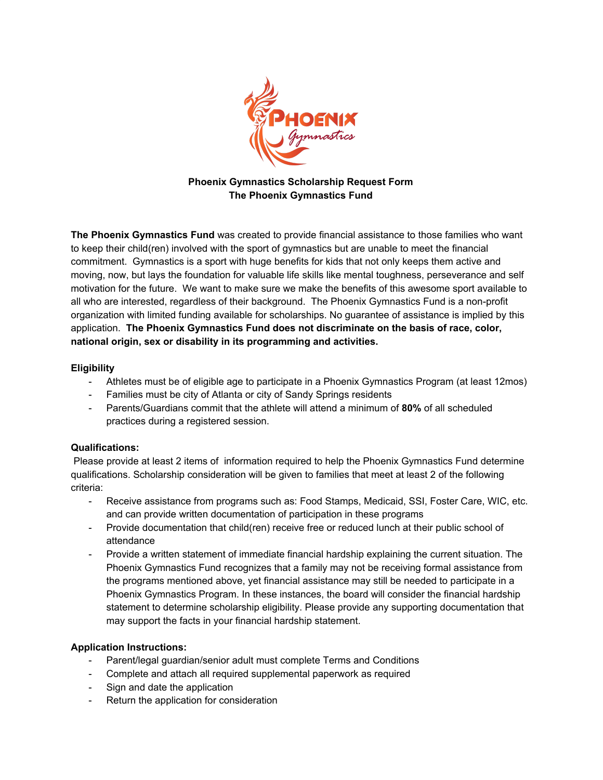

## **Phoenix Gymnastics Scholarship Request Form The Phoenix Gymnastics Fund**

**The Phoenix Gymnastics Fund** was created to provide financial assistance to those families who want to keep their child(ren) involved with the sport of gymnastics but are unable to meet the financial commitment. Gymnastics is a sport with huge benefits for kids that not only keeps them active and moving, now, but lays the foundation for valuable life skills like mental toughness, perseverance and self motivation for the future. We want to make sure we make the benefits of this awesome sport available to all who are interested, regardless of their background. The Phoenix Gymnastics Fund is a non-profit organization with limited funding available for scholarships. No guarantee of assistance is implied by this application. **The Phoenix Gymnastics Fund does not discriminate on the basis of race, color, national origin, sex or disability in its programming and activities.**

### **Eligibility**

- Athletes must be of eligible age to participate in a Phoenix Gymnastics Program (at least 12mos)
- Families must be city of Atlanta or city of Sandy Springs residents
- Parents/Guardians commit that the athlete will attend a minimum of **80%** of all scheduled practices during a registered session.

#### **Qualifications:**

Please provide at least 2 items of information required to help the Phoenix Gymnastics Fund determine qualifications. Scholarship consideration will be given to families that meet at least 2 of the following criteria:

- Receive assistance from programs such as: Food Stamps, Medicaid, SSI, Foster Care, WIC, etc. and can provide written documentation of participation in these programs
- Provide documentation that child(ren) receive free or reduced lunch at their public school of attendance
- Provide a written statement of immediate financial hardship explaining the current situation. The Phoenix Gymnastics Fund recognizes that a family may not be receiving formal assistance from the programs mentioned above, yet financial assistance may still be needed to participate in a Phoenix Gymnastics Program. In these instances, the board will consider the financial hardship statement to determine scholarship eligibility. Please provide any supporting documentation that may support the facts in your financial hardship statement.

## **Application Instructions:**

- Parent/legal guardian/senior adult must complete Terms and Conditions
- Complete and attach all required supplemental paperwork as required
- Sign and date the application
- Return the application for consideration